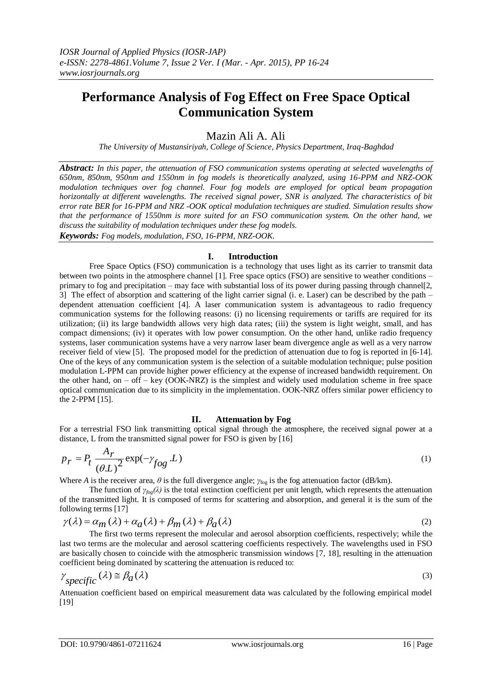# **Performance Analysis of Fog Effect on Free Space Optical Communication System**

Mazin Ali A. Ali

*The University of Mustansiriyah, College of Science, Physics Department, Iraq-Baghdad*

*Abstract: In this paper, the attenuation of FSO communication systems operating at selected wavelengths of 650nm, 850nm, 950nm and 1550nm in fog models is theoretically analyzed, using 16-PPM and NRZ-OOK modulation techniques over fog channel. Four fog models are employed for optical beam propagation horizontally at different wavelengths. The received signal power, SNR is analyzed. The characteristics of bit error rate BER for 16-PPM and NRZ -OOK optical modulation techniques are studied. Simulation results show that the performance of 1550nm is more suited for an FSO communication system. On the other hand, we discuss the suitability of modulation techniques under these fog models. Keywords: Fog models, modulation, FSO, 16-PPM, NRZ-OOK.* 

## **I. Introduction**

Free Space Optics (FSO) communication is a technology that uses light as its carrier to transmit data between two points in the atmosphere channel [1]. Free space optics (FSO) are sensitive to weather conditions – primary to fog and precipitation – may face with substantial loss of its power during passing through channel[2, 3] The effect of absorption and scattering of the light carrier signal (i. e. Laser) can be described by the path – dependent attenuation coefficient [4]. A laser communication system is advantageous to radio frequency communication systems for the following reasons: (i) no licensing requirements or tariffs are required for its utilization; (ii) its large bandwidth allows very high data rates; (iii) the system is light weight, small, and has compact dimensions; (iv) it operates with low power consumption. On the other hand, unlike radio frequency systems, laser communication systems have a very narrow laser beam divergence angle as well as a very narrow receiver field of view [5]. The proposed model for the prediction of attenuation due to fog is reported in [6-14]. One of the keys of any communication system is the selection of a suitable modulation technique; pulse position modulation L-PPM can provide higher power efficiency at the expense of increased bandwidth requirement. On the other hand, on  $-$  off  $-$  key (OOK-NRZ) is the simplest and widely used modulation scheme in free space optical communication due to its simplicity in the implementation. OOK-NRZ offers similar power efficiency to the 2-PPM [15].

## **II. Attenuation by Fog**

For a terrestrial FSO link transmitting optical signal through the atmosphere, the received signal power at a distance, L from the transmitted signal power for FSO is given by [16]

$$
p_r = P_t \frac{A_r}{(\theta L)^2} \exp(-\gamma_{fog} L)
$$
 (1)

Where *A* is the receiver area,  $\theta$  is the full divergence angle;  $\gamma_{\text{fog}}$  is the fog attenuation factor (dB/km).

The function of  $\gamma_{\text{fog}}(\lambda)$  is the total extinction coefficient per unit length, which represents the attenuation of the transmitted light. It is composed of terms for scattering and absorption, and general it is the sum of the following terms [17]<br>  $\gamma(\lambda) = \alpha_m(\lambda) + \alpha_a(\lambda) + \beta_m(\lambda) + \beta_a(\lambda)$  (2) following terms [17]

$$
\gamma(\lambda) = \alpha_m(\lambda) + \alpha_a(\lambda) + \beta_m(\lambda) + \beta_a(\lambda)
$$
\n(2)

The first two terms represent the molecular and aerosol absorption coefficients, respectively; while the last two terms are the molecular and aerosol scattering coefficients respectively. The wavelengths used in FSO are basically chosen to coincide with the atmospheric transmission windows [7, 18], resulting in the attenuation coefficient being dominated by scattering the attenuation is reduced to:

$$
\gamma_{specific}(\lambda) \approx \beta_a(\lambda) \tag{3}
$$

Attenuation coefficient based on empirical measurement data was calculated by the following empirical model [19]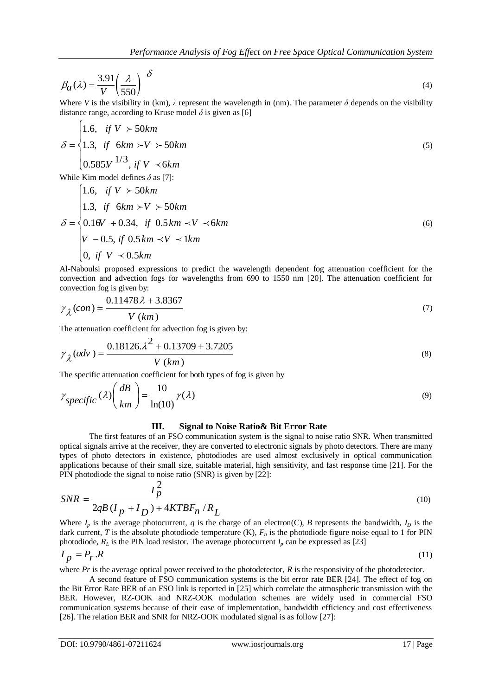$$
\beta_a(\lambda) = \frac{3.91}{V} \left(\frac{\lambda}{550}\right)^{-\delta} \tag{4}
$$

Where *V* is the visibility in (km),  $\lambda$  represent the wavelength in (nm). The parameter  $\delta$  depends on the visibility distance range, according to Kruse model  $\delta$  is given as [6]

$$
\delta = \begin{cases}\n1.6, & if V > 50km \\
1.3, & if 6km > V > 50km \\
0.585V^{1/3}, & if V < 6km\n\end{cases}
$$
\nWhile Kim model defines  $\delta$  as [7]:

While Kim model defines *δ* as [7]:

 $\epsilon$ 

While Kim model defines 
$$
\delta
$$
 as [7]:  
\n
$$
\delta = \begin{cases}\n1.6, & if V > 50km \\
1.3, & if 6km > V > 50km \\
0.16V + 0.34, & if 0.5km \prec V \prec 6km \\
V - 0.5, & if 0.5km \prec V \prec 1km \\
0, & if V \prec 0.5km\n\end{cases}
$$
\n(6)

Al-Naboulsi proposed expressions to predict the wavelength dependent fog attenuation coefficient for the convection and advection fogs for wavelengths from 690 to 1550 nm [20]. The attenuation coefficient for

convection fog is given by:  
\n
$$
\gamma_{\lambda}(con) = \frac{0.11478 \lambda + 3.8367}{V (km)}
$$
\n(7)

The attenuation coefficient for advection fog is given by:  
\n
$$
\gamma_{\lambda}(adv) = \frac{0.18126.\lambda^2 + 0.13709 + 3.7205}{V (km)}
$$
\n(8)

The specific attenuation coefficient for both types of fog is given by  
\n
$$
\gamma_{specific}(\lambda) \left(\frac{dB}{km}\right) = \frac{10}{\ln(10)} \gamma(\lambda)
$$
\n(9)

#### **III. Signal to Noise Ratio& Bit Error Rate**

The first features of an FSO communication system is the signal to noise ratio SNR. When transmitted optical signals arrive at the receiver, they are converted to electronic signals by photo detectors. There are many types of photo detectors in existence, photodiodes are used almost exclusively in optical communication applications because of their small size, suitable material, high sensitivity, and fast response time [21]. For the PIN photodiode the signal to noise ratio (SNR) is given by [22]:

$$
SNR = \frac{I_p^2}{2qB(I_p + I_D) + 4KTBF_n/R_L}
$$
\n<sup>(10)</sup>

Where  $I_p$  is the average photocurrent, *q* is the charge of an electron(C), *B* represents the bandwidth,  $I_p$  is the dark current, *T* is the absolute photodiode temperature  $(K)$ ,  $F<sub>n</sub>$  is the photodiode figure noise equal to 1 for PIN photodiode,  $R_L$  is the PIN load resistor. The average photocurrent  $I_p$  can be expressed as [23]

$$
I_p = P_r \cdot R \tag{11}
$$

where *Pr* is the average optical power received to the photodetector, *R* is the responsivity of the photodetector.

A second feature of FSO communication systems is the bit error rate BER [24]. The effect of fog on the Bit Error Rate BER of an FSO link is reported in [25] which correlate the atmospheric transmission with the BER. However, RZ-OOK and NRZ-OOK modulation schemes are widely used in commercial FSO communication systems because of their ease of implementation, bandwidth efficiency and cost effectiveness [26]. The relation BER and SNR for NRZ-OOK modulated signal is as follow [27]: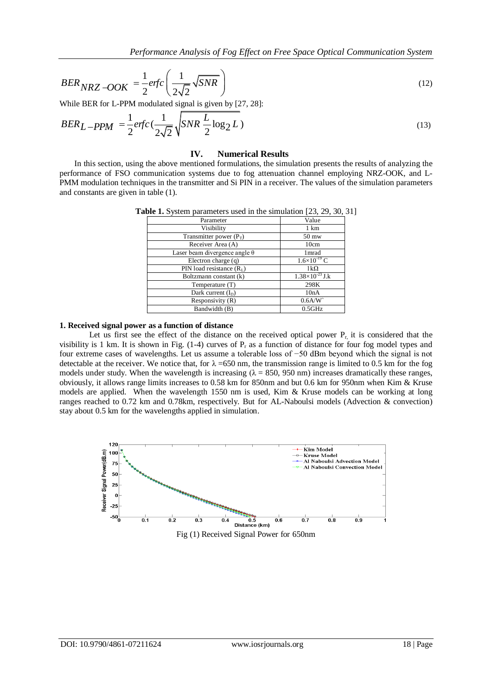*Performance Analysis of Fog Effect on Free Space Optical Communication System*

*BER*<sub>NRZ</sub> – *OOK* = 
$$
\frac{1}{2}
$$
erfc $\left(\frac{1}{2\sqrt{2}}\sqrt{SNR}\right)$  (12)

While BER for L-PPM modulated signal is given by [27, 28]:  
\n
$$
BER_{L-PPM} = \frac{1}{2}erfc\left(\frac{1}{2\sqrt{2}}\sqrt{SNR\frac{L}{2}\log_2 L}\right)
$$
\n(13)

#### **IV. Numerical Results**

In this section, using the above mentioned formulations, the simulation presents the results of analyzing the performance of FSO communication systems due to fog attenuation channel employing NRZ-OOK, and L-PMM modulation techniques in the transmitter and Si PIN in a receiver. The values of the simulation parameters and constants are given in table (1).

| $\mu$ . $\mu$ , $\mu$ , $\mu$ , $\mu$ , $\mu$ , $\mu$ , $\mu$ , $\mu$ , $\mu$ , $\mu$ , $\mu$ , $\mu$ , $\mu$ , $\mu$ , $\mu$ , $\mu$ |  |
|---------------------------------------------------------------------------------------------------------------------------------------|--|
| Value                                                                                                                                 |  |
| 1 km                                                                                                                                  |  |
| 50 mw                                                                                                                                 |  |
| 10cm                                                                                                                                  |  |
| 1 mrad                                                                                                                                |  |
| $1.6\times10^{-19}$ C                                                                                                                 |  |
| $1k\Omega$                                                                                                                            |  |
| $1.38\times10^{-23}$ J.k                                                                                                              |  |
| 298K                                                                                                                                  |  |
| 10nA                                                                                                                                  |  |
| $0.6$ A/W                                                                                                                             |  |
| $0.5$ GHz                                                                                                                             |  |
|                                                                                                                                       |  |

**Table 1.** System parameters used in the simulation [23, 29, 30, 31]

#### **1. Received signal power as a function of distance**

BER Key -OOK =  $\frac{1}{2}$  or  $f(c)$  =  $\frac{1}{\sqrt{2}}$  (SNR)<br>
BER for 1.5-PM conclusion signal is given by  $D^2$ , 38<br>
IBER I. - PPM =  $\frac{1}{2}$  or  $f(c)$  =  $\frac{1}{\sqrt{2}}$  (SNR  $\frac{T}{2}$  log 2. L)<br>
III)<br>
IDE iS concerned in the sign Let us first see the effect of the distance on the received optical power  $P_{r, i}$  it is considered that the visibility is 1 km. It is shown in Fig.  $(1-4)$  curves of  $P_r$  as a function of distance for four fog model types and four extreme cases of wavelengths. Let us assume a tolerable loss of −50 dBm beyond which the signal is not detectable at the receiver. We notice that, for  $\lambda = 650$  nm, the transmission range is limited to 0.5 km for the fog models under study. When the wavelength is increasing ( $\lambda = 850$ , 950 nm) increases dramatically these ranges, obviously, it allows range limits increases to 0.58 km for 850nm and but 0.6 km for 950nm when Kim & Kruse models are applied. When the wavelength 1550 nm is used, Kim & Kruse models can be working at long ranges reached to 0.72 km and 0.78km, respectively. But for AL-Naboulsi models (Advection & convection) stay about 0.5 km for the wavelengths applied in simulation.



Fig (1) Received Signal Power for 650nm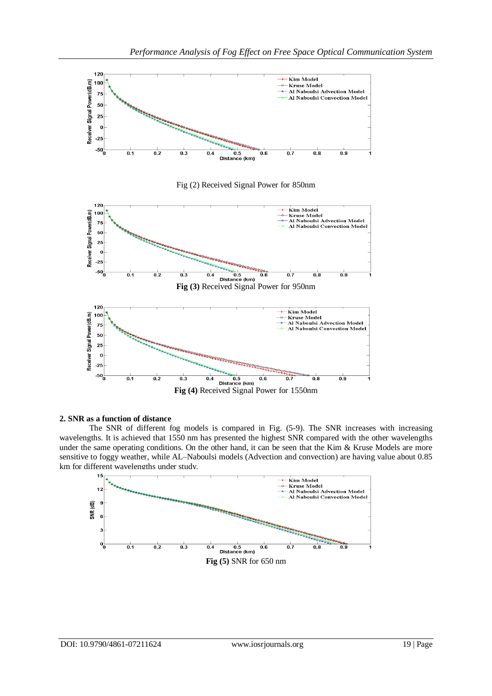

Fig (2) Received Signal Power for 850nm



## **2. SNR as a function of distance**

The SNR of different fog models is compared in Fig. (5-9). The SNR increases with increasing wavelengths. It is achieved that 1550 nm has presented the highest SNR compared with the other wavelengths under the same operating conditions. On the other hand, it can be seen that the Kim & Kruse Models are more sensitive to foggy weather, while AL–Naboulsi models (Advection and convection) are having value about 0.85 km for different wavelengths under study.

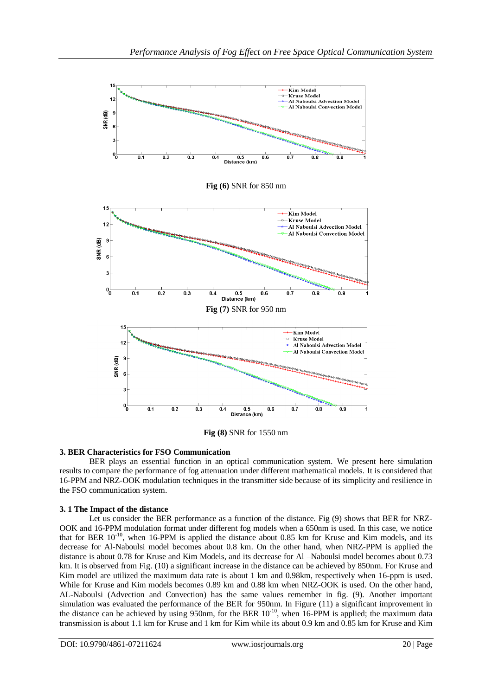

**Fig (8)** SNR for 1550 nm

# **3. BER Characteristics for FSO Communication**

BER plays an essential function in an optical communication system. We present here simulation results to compare the performance of fog attenuation under different mathematical models. It is considered that 16-PPM and NRZ-OOK modulation techniques in the transmitter side because of its simplicity and resilience in the FSO communication system.

# **3. 1 The Impact of the distance**

Let us consider the BER performance as a function of the distance. Fig (9) shows that BER for NRZ-OOK and 16-PPM modulation format under different fog models when a 650nm is used. In this case, we notice that for BER  $10^{-10}$ , when 16-PPM is applied the distance about 0.85 km for Kruse and Kim models, and its decrease for Al-Naboulsi model becomes about 0.8 km. On the other hand, when NRZ-PPM is applied the distance is about 0.78 for Kruse and Kim Models, and its decrease for Al –Naboulsi model becomes about 0.73 km. It is observed from Fig. (10) a significant increase in the distance can be achieved by 850nm. For Kruse and Kim model are utilized the maximum data rate is about 1 km and 0.98km, respectively when 16-ppm is used. While for Kruse and Kim models becomes 0.89 km and 0.88 km when NRZ-OOK is used. On the other hand, AL-Naboulsi (Advection and Convection) has the same values remember in fig. (9). Another important simulation was evaluated the performance of the BER for 950nm. In Figure (11) a significant improvement in the distance can be achieved by using 950nm, for the BER  $10^{-10}$ , when 16-PPM is applied; the maximum data transmission is about 1.1 km for Kruse and 1 km for Kim while its about 0.9 km and 0.85 km for Kruse and Kim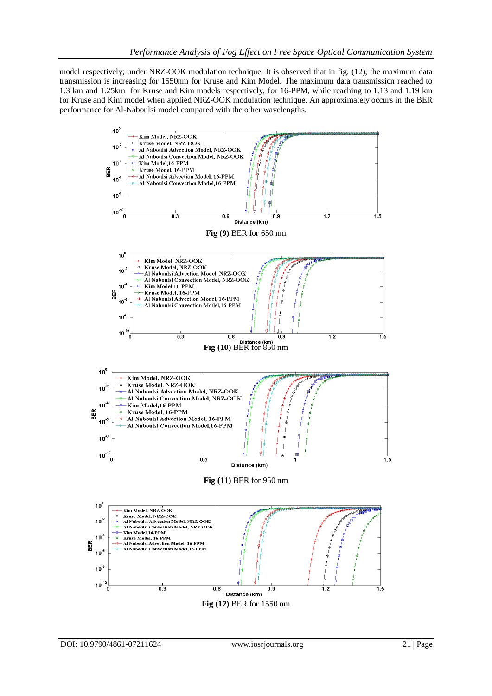model respectively; under NRZ-OOK modulation technique. It is observed that in fig. (12), the maximum data transmission is increasing for 1550nm for Kruse and Kim Model. The maximum data transmission reached to 1.3 km and 1.25km for Kruse and Kim models respectively, for 16-PPM, while reaching to 1.13 and 1.19 km for Kruse and Kim model when applied NRZ-OOK modulation technique. An approximately occurs in the BER performance for Al-Naboulsi model compared with the other wavelengths.

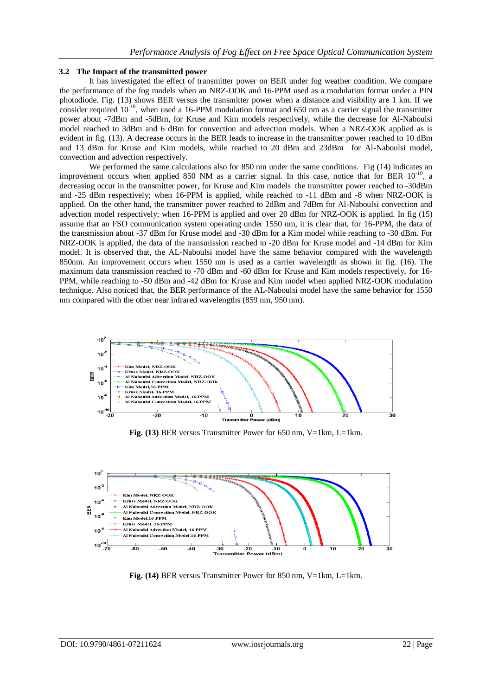## **3.2 The Impact of the transmitted power**

It has investigated the effect of transmitter power on BER under fog weather condition. We compare the performance of the fog models when an NRZ-OOK and 16-PPM used as a modulation format under a PIN photodiode. Fig. (13) shows BER versus the transmitter power when a distance and visibility are 1 km. If we consider required  $10^{-10}$ , when used a 16-PPM modulation format and 650 nm as a carrier signal the transmitter power about -7dBm and -5dBm, for Kruse and Kim models respectively, while the decrease for Al-Naboulsi model reached to 3dBm and 6 dBm for convection and advection models. When a NRZ-OOK applied as is evident in fig. (13). A decrease occurs in the BER leads to increase in the transmitter power reached to 10 dBm and 13 dBm for Kruse and Kim models, while reached to 20 dBm and 23dBm for Al-Naboulsi model, convection and advection respectively.

We performed the same calculations also for 850 nm under the same conditions. Fig (14) indicates an improvement occurs when applied 850 NM as a carrier signal. In this case, notice that for BER 10<sup>-10</sup>, a decreasing occur in the transmitter power, for Kruse and Kim models the transmitter power reached to -30dBm and -25 dBm respectively; when 16-PPM is applied, while reached to -11 dBm and -8 when NRZ-OOK is applied. On the other hand, the transmitter power reached to 2dBm and 7dBm for Al-Naboulsi convection and advection model respectively; when 16-PPM is applied and over 20 dBm for NRZ-OOK is applied. In fig (15) assume that an FSO communication system operating under 1550 nm, it is clear that, for 16-PPM, the data of the transmission about -37 dBm for Kruse model and -30 dBm for a Kim model while reaching to -30 dBm. For NRZ-OOK is applied, the data of the transmission reached to -20 dBm for Kruse model and -14 dBm for Kim model. It is observed that, the AL-Naboulsi model have the same behavior compared with the wavelength 850nm. An improvement occurs when 1550 nm is used as a carrier wavelength as shown in fig. (16). The maximum data transmission reached to -70 dBm and -60 dBm for Kruse and Kim models respectively, for 16- PPM, while reaching to -50 dBm and -42 dBm for Kruse and Kim model when applied NRZ-OOK modulation technique. Also noticed that, the BER performance of the AL-Naboulsi model have the same behavior for 1550 nm compared with the other near infrared wavelengths (859 nm, 950 nm).



**Fig. (13)** BER versus Transmitter Power for 650 nm, V=1km, L=1km.



**Fig. (14)** BER versus Transmitter Power for 850 nm, V=1km, L=1km.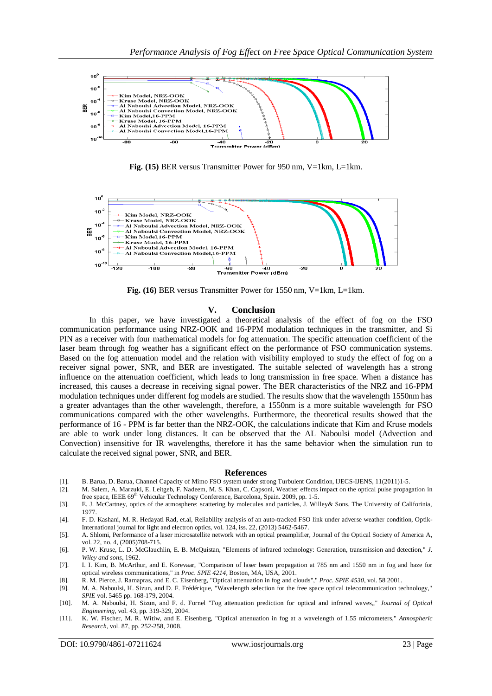

**Fig. (15)** BER versus Transmitter Power for 950 nm, V=1km, L=1km.



**Fig. (16)** BER versus Transmitter Power for 1550 nm, V=1km, L=1km.

#### **V. Conclusion**

In this paper, we have investigated a theoretical analysis of the effect of fog on the FSO communication performance using NRZ-OOK and 16-PPM modulation techniques in the transmitter, and Si PIN as a receiver with four mathematical models for fog attenuation. The specific attenuation coefficient of the laser beam through fog weather has a significant effect on the performance of FSO communication systems. Based on the fog attenuation model and the relation with visibility employed to study the effect of fog on a receiver signal power, SNR, and BER are investigated. The suitable selected of wavelength has a strong influence on the attenuation coefficient, which leads to long transmission in free space. When a distance has increased, this causes a decrease in receiving signal power. The BER characteristics of the NRZ and 16-PPM modulation techniques under different fog models are studied. The results show that the wavelength 1550nm has a greater advantages than the other wavelength, therefore, a 1550nm is a more suitable wavelength for FSO communications compared with the other wavelengths. Furthermore, the theoretical results showed that the performance of 16 - PPM is far better than the NRZ-OOK, the calculations indicate that Kim and Kruse models are able to work under long distances. It can be observed that the AL Naboulsi model (Advection and Convection) insensitive for IR wavelengths, therefore it has the same behavior when the simulation run to calculate the received signal power, SNR, and BER.

#### **References**

- [1]. B. Barua, D. Barua, Channel Capacity of Mimo FSO system under strong Turbulent Condition, IJECS-IJENS, 11(2011)1-5.
- [2]. M. Salem, A. Marzuki, E. Leitgeb, F. Nadeem, M. S. Khan, C. Capsoni, Weather effects impact on the optical pulse propagation in free space, IEEE 69<sup>th</sup> Vehicular Technology Conference, Barcelona, Spain. 2009, pp. 1-5.
- [3]. E. J. McCartney, optics of the atmosphere: scattering by molecules and particles, J. Willey& Sons. The University of Califorinia, 1977.

[4]. F. D. Kashani, M. R. Hedayati Rad, et.al, Reliability analysis of an auto-tracked FSO link under adverse weather condition, Optik-International journal for light and electron optics, vol. 124, iss. 22, (2013) 5462-5467.

- [5]. A. Shlomi, Performance of a laser microsatellite network with an optical preamplifier, Journal of the Optical Society of America A, vol. 22, no. 4, (2005)708-715.
- [6]. P. W. Kruse, L. D. McGlauchlin, E. B. McQuistan, "Elements of infrared technology: Generation, transmission and detection," *J. Wiley and sons,* 1962.
- [7]. I. I. Kim, B. McArthur, and E. Korevaar, "Comparison of laser beam propagation at 785 nm and 1550 nm in fog and haze for optical wireless communications," in *Proc. SPIE 4214*, Boston, MA, USA, 2001.
- [8]. R. M. Pierce, J. Ramapras, and E. C. Eisenberg, "Optical attenuation in fog and clouds"," *Proc. SPIE 4530,* vol. 58 2001.
- [9]. M. A. Naboulsi, H. Sizun, and D. F. Frédérique, "Wavelength selection for the free space optical telecommunication technology," *SPIE* vol. 5465 pp. 168-179, 2004.
- [10]. M. A. Naboulsi, H. Sizun, and F. d. Fornel "Fog attenuation prediction for optical and infrared waves,," *Journal of Optical Engineering,* vol. 43, pp. 319-329, 2004.
- [11]. K. W. Fischer, M. R. Witiw, and E. Eisenberg, "Optical attenuation in fog at a wavelength of 1.55 micrometers," *Atmospheric Research,* vol. 87, pp. 252-258, 2008.